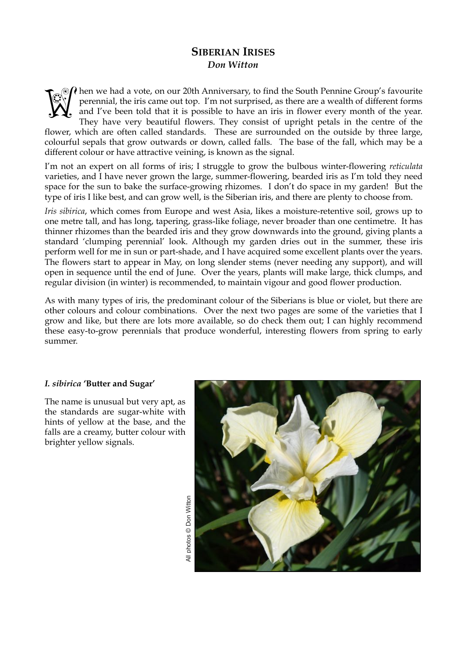# **SIBERIAN IRISES**  *Don Witton*

 $\partial \Omega$  hen we had a vote, on our 20th Anniversary, to find the South Pennine Group's favourite perennial, the iris came out top. I'm not surprised, as there are a wealth of different forms and I've been told that it is possible to have an iris in flower every month of the year. They have very beautiful flowers. They consist of upright petals in the centre of the flower, which are often called standards. These are surrounded on the outside by three large, colourful sepals that grow outwards or down, called falls. The base of the fall, which may be a different colour or have attractive veining, is known as the signal. **Well** 

I'm not an expert on all forms of iris; I struggle to grow the bulbous winter-flowering *reticulata* varieties, and I have never grown the large, summer-flowering, bearded iris as I'm told they need space for the sun to bake the surface-growing rhizomes. I don't do space in my garden! But the type of iris I like best, and can grow well, is the Siberian iris, and there are plenty to choose from.

*Iris sibirica*, which comes from Europe and west Asia, likes a moisture-retentive soil, grows up to one metre tall, and has long, tapering, grass-like foliage, never broader than one centimetre. It has thinner rhizomes than the bearded iris and they grow downwards into the ground, giving plants a standard 'clumping perennial' look. Although my garden dries out in the summer, these iris perform well for me in sun or part-shade, and I have acquired some excellent plants over the years. The flowers start to appear in May, on long slender stems (never needing any support), and will open in sequence until the end of June. Over the years, plants will make large, thick clumps, and regular division (in winter) is recommended, to maintain vigour and good flower production.

As with many types of iris, the predominant colour of the Siberians is blue or violet, but there are other colours and colour combinations. Over the next two pages are some of the varieties that I grow and like, but there are lots more available, so do check them out; I can highly recommend these easy-to-grow perennials that produce wonderful, interesting flowers from spring to early summer.

## *I. sibirica* **'Butter and Sugar'**

The name is unusual but very apt, as the standards are sugar-white with hints of yellow at the base, and the falls are a creamy, butter colour with brighter yellow signals.

All photos © Don Witton

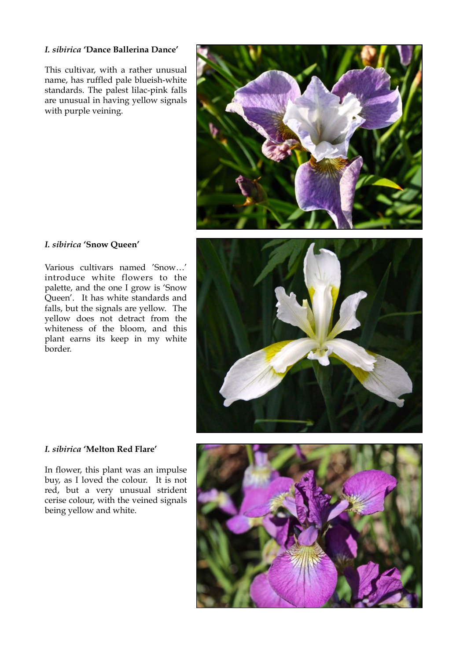# *I. sibirica* **'Dance Ballerina Dance'**

This cultivar, with a rather unusual name, has ruffled pale blueish-white standards. The palest lilac-pink falls are unusual in having yellow signals with purple veining.



# *I. sibirica* **'Snow Queen'**

Various cultivars named 'Snow…' introduce white flowers to the palette, and the one I grow is 'Snow Queen'. It has white standards and falls, but the signals are yellow. The yellow does not detract from the whiteness of the bloom, and this plant earns its keep in my white border.



#### *I. sibirica* **'Melton Red Flare'**

In flower, this plant was an impulse buy, as I loved the colour. It is not red, but a very unusual strident cerise colour, with the veined signals being yellow and white.